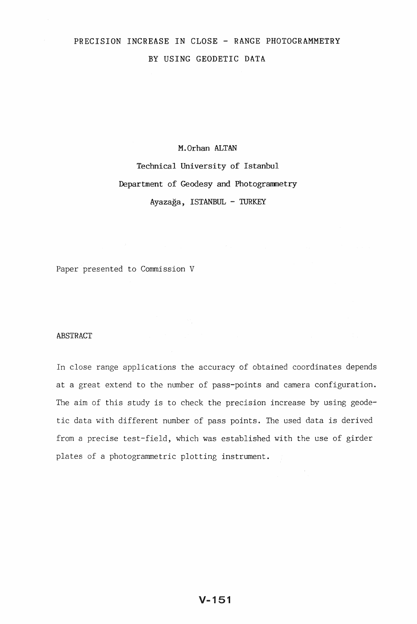# PRECISION INCREASE IN CLOSE - RANGE PHOTOGRAMMETRY BY USING GEODETIC DATA

# M.Orhan ALTAN Technical University of Istanbul Department of Geodesy and Photogrammetry Ayazaga, ISTANBUL - TURKEY

Paper presented to Commission V

### ABSTRACT

In close range applications the accuracy of obtained coordinates depends at a great extend to the number of pass-points and camera configuration. The aim of this study is to check the precision increase by using geodetic data with different number of pass points. The used data is derived from a precise test-field, which was established with the use of girder plates of a photogrammetric plotting instrument.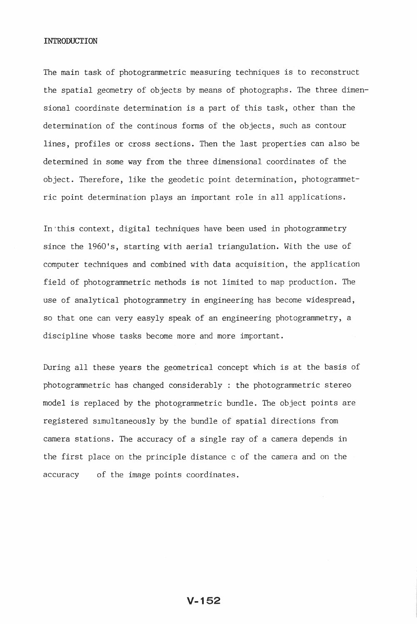#### INTRODUCTION

The main task of photogrammetric measuring techniques is to reconstruct the spatial geometry of objects by means of photographs. The three dimensional coordinate determination is a part of this task, other than the determination of the continous forms of the objects, such as contour lines, profiles or cross sections. Then the last properties can also be determined in some way from the three dimensional coordinates of the object. Therefore, like the geodetic point determination, photogrammetric point determination plays an important role in all applications.

In this context, digital techniques have been used in photogrammetry since the 1960's, starting with aerial triangulation. With the use of computer techniques and combined with data acquisition, the application field of photograrnmetric methods is not limited to map production. The use of analytical photogrammetry in engineering has become widespread, so that one can very easyly speak of an engineering photogrammetry, a discipline whose tasks become more and more important.

During all these years the geometrical concept which is at the basis of photogrammetric has changed considerably : the photogrammetric stereo model is replaced by the photogrammetric bundle. The object points are registered slmultaneously by the bundle of spatial directions from camera stations. The accuracy of a single ray of a camera depends in the first place on the principle distance c of the camera and on the accuracy of the image points coordinates.

V-152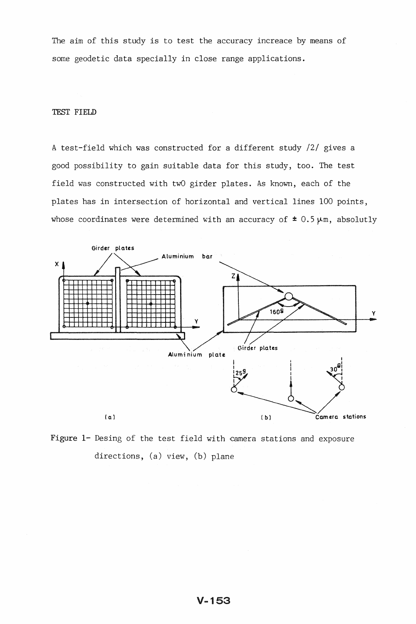The aim of this study is to test the accuracy increace by means of some geodetic data specially in close range applications.

# TEST FIELD

A test-field which was constructed for a different study /2/ gives a good possibility to gain suitable data for this study, too. The test field was constructed with twO girder plates. As known, each of the plates has in intersection of horizontal and vertical lines 100 points, whose coordinates were determined with an accuracy of  $\pm$  0.5  $\mu$ m, absolutly



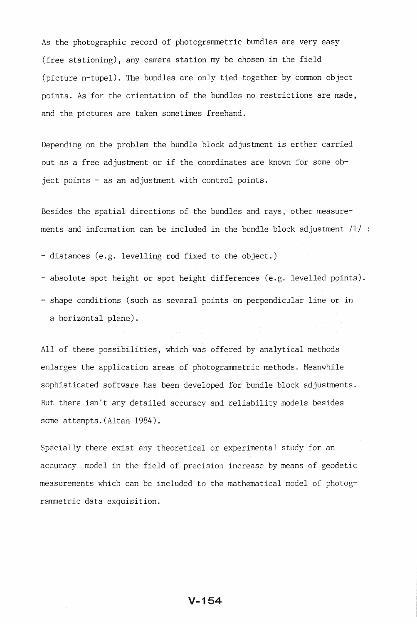As the photographic record of photogrammetric bundles are very easy (free stationing), any camera station my be chosen in the field (picture n-tupel). The bundles are only tied together by common object points. As for the orientation of the bundles no restrictions are made, and the pictures are taken sometimes freehand.

Depending on the problem the bundle block adjustment is erther carried out as a free adjustment or if the coordinates are known for some object points - as an adjustment with control points.

Besides the spatial directions of the bundles and rays, other measurements and information can be included in the bundle block adjustment  $/1/$ :

- distances (e.g. levelling rod fixed to the object.)

- absolute spot height or spot height differences (e.g. levelled points). - shape conditions (such as several points on perpendicular line or in a horizontal plane).

All of these possibilities, which was offered by analytical methods enlarges the application areas of photogrammetric methods. Meanwhile sophisticated software has been developed for bundle block adjustments. But there isn't any detailed accuracy and reliability models besides some attempts. (Altan 1984).

Specially there exist any theoretical or experimental study for an accuracy model in the field of precision increase by means of geodetic measurements which can be included to the mathematical model of photogrammetric data exquisition.

## V-154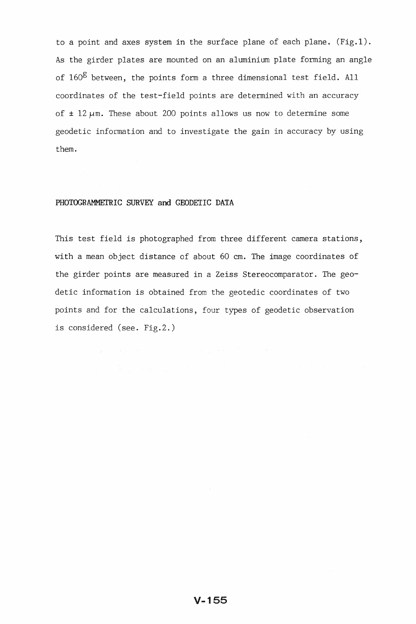to a point and axes system in the surface plane of each plane.  $(Fig.1)$ . As the girder plates are mounted on an aluminium plate forming an angle of  $160^g$  between, the points form a three dimensional test field. All coordinates of the test-field points are determined with an accuracy of  $\pm$  12  $\mu$ m. These about 200 points allows us now to determine some geodetic information and to investigate the gain in accuracy by using them.

### PHOTOGRAMMETRIC SURVEY and GEODETIC DATA

This test field is photographed from three different camera stations, with a mean object distance of about 60 cm. The image coordinates of the girder points are measured in a Zeiss Stereocomparator. The geodetic information is obtained from the geotedic coordinates of two points and for the calculations, four types of geodetic observation is considered (see. Fig.2.)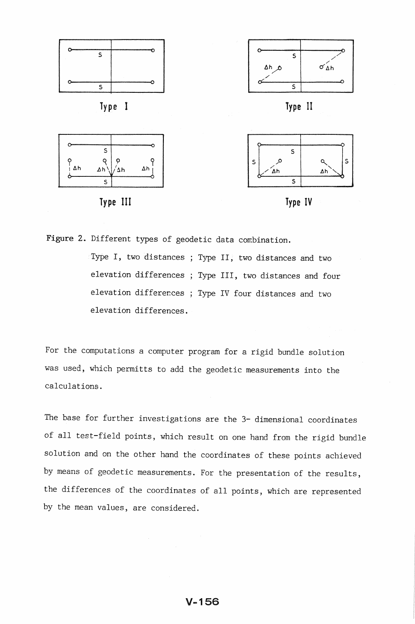





Type III Type IV



Figure 2. Different types of geodetic data combination.

Type I, two distances ; Type II, two distances and two elevation differences ; Type III, two distances and four elevation differences ; Type IV four distances and two elevation differences.

For the computations a computer program for a rigid bundle solution was used, which permitts to add the geodetic measurements into the calculations.

The base for further investigations are the 3- dimensional coordinates of all test-field points, which result on one hand from the rigid bundle solution and on the other hand the coordinates of these points achieved by means of geodetic measurements. For the presentation of the results, the differences of the coordinates of all points, which are represented by the mean values, are considered.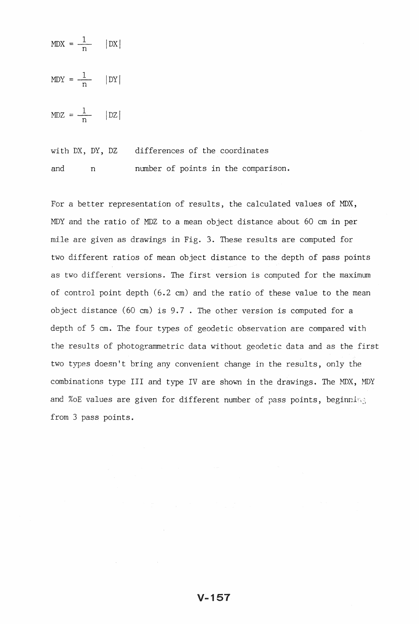$MDX = \frac{1}{n}$  | DX|  $MDY = \frac{1}{n}$  |DY|

 $MDZ = \frac{1}{n}$  | DZ|

with DX, DY, DZ differences of the coordinates and n number of points in the comparison.

For a better representation of results, the calculated values of MDX, MDY and the ratio of MDZ to a mean object distance about 60 cm in per mile are given as drawings in Fig. 3. These results are computed for two different ratios of mean object distance to the depth of pass points as two different versions. The first version is computed for the maximum of control point depth (6.2 em) and the ratio of these value to the mean object distance (60 cm) is 9.7 . The other version is computed for a depth of 5 cm. The four types of geodetic observation are compared with the results of photogrammetric data without geodetic data and as the first two types doesn't bring any convenient change in the results, only the combinations type III and type IV are shown in the drawings. The MDX, MDY and %oE values are given for different number of pass points, beginning from 3 pass points.

# $V - 157$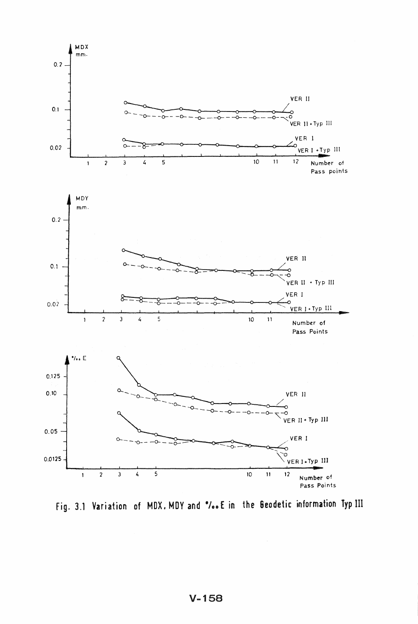

fig. 3.1 Variation of MDX. MDY and "00 E In the 6eodetic information Typ III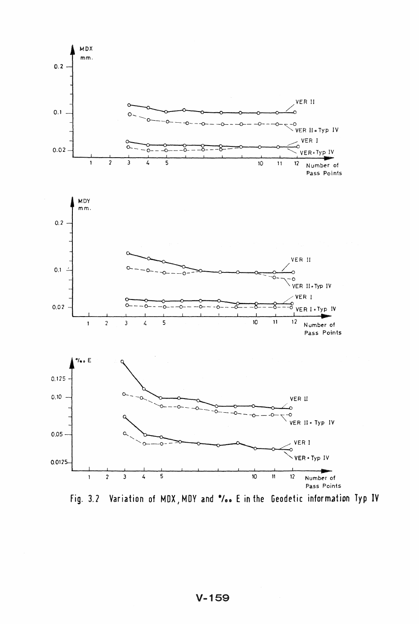